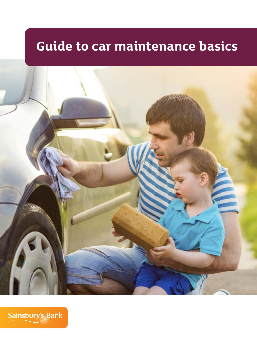# **Guide to car maintenance basics**



Sainsbury's Bank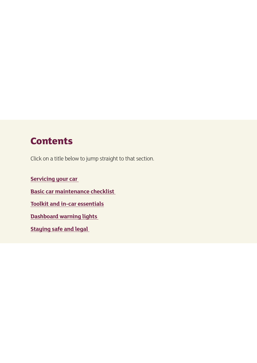### **Contents**

Click on a title below to jump straight to that section.

**Servicing your car Basic car maintenance checklist Toolkit and in-car essentials Dashboard warning lights Staying safe and legal**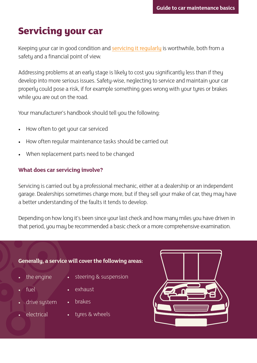# **Servicing your car**

Keeping your car in good condition and servicing it regularly is worthwhile, both from a safety and a financial point of view.

Addressing problems at an early stage is likely to cost you significantly less than if they develop into more serious issues. Safety-wise, neglecting to service and maintain your car properly could pose a risk, if for example something goes wrong with your tyres or brakes while you are out on the road.

Your manufacturer's handbook should tell you the following:

- How often to get your car serviced
- How often regular maintenance tasks should be carried out
- When replacement parts need to be changed

### **What does car servicing involve?**

Servicing is carried out by a professional mechanic, either at a dealership or an independent garage. Dealerships sometimes charge more, but if they sell your make of car, they may have a better understanding of the faults it tends to develop.

Depending on how long it's been since your last check and how many miles you have driven in that period, you may be recommended a basic check or a more comprehensive examination.

### **Generally, a service will cover the following areas:**

- the engine
- steering & suspension
- fuel
- exhaust
	- **brakes**
- **electrical**

drive system

• tyres & wheels

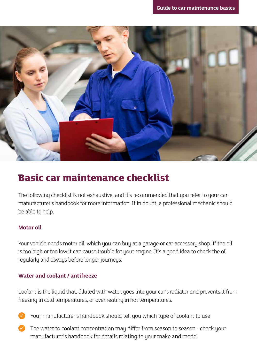

### **Basic car maintenance checklist**

The following checklist is not exhaustive, and it's recommended that you refer to your car manufacturer's handbook for more information. If in doubt, a professional mechanic should be able to help.

### **Motor oil**

Your vehicle needs motor oil, which you can buy at a garage or car accessory shop. If the oil is too high or too low it can cause trouble for your engine. It's a good idea to check the oil regularly and always before longer journeys.

### **Water and coolant / antifreeze**

Coolant is the liquid that, diluted with water, goes into your car's radiator and prevents it from freezing in cold temperatures, or overheating in hot temperatures.

- Your manufacturer's handbook should tell you which type of coolant to use
- $\blacktriangleright$  The water to coolant concentration may differ from season to season check your manufacturer's handbook for details relating to your make and model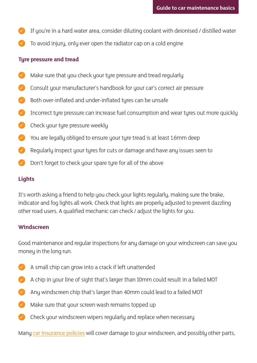- $\blacktriangleright$  If you're in a hard water area, consider diluting coolant with deionised / distilled water
- To avoid injury, only ever open the radiator cap on a cold engine

### **Tyre pressure and tread**

- Make sure that you check your tyre pressure and tread regularly
- Consult your manufacturer's handbook for your car's correct air pressure
- Both over-inflated and under-inflated tyres can be unsafe
- Incorrect tyre pressure can increase fuel consumption and wear tyres out more quickly
- $\sqrt{\phantom{a}}$  Check your tyre pressure weekly
- You are legally obliged to ensure your tyre tread is at least 1.6mm deep
- Regularly inspect your tyres for cuts or damage and have any issues seen to
- Don't forget to check your spare tyre for all of the above

### **Lights**

It's worth asking a friend to help you check your lights regularly, making sure the brake, indicator and fog lights all work. Check that lights are properly adjusted to prevent dazzling other road users. A qualified mechanic can check / adjust the lights for you.

### **Windscreen**

Good maintenance and regular inspections for any damage on your windscreen can save you money in the long run.

- $\blacktriangleright$  A small chip can grow into a crack if left unattended
- A chip in your line of sight that's larger than 10mm could result in a failed MOT
- Any windscreen chip that's larger than 40mm could lead to a failed MOT
- Make sure that your screen wash remains topped up
- $\blacktriangleright$  Check your windscreen wipers regularly and replace when necessary

Many car insurance policies will cover damage to your windscreen, and possibly other parts,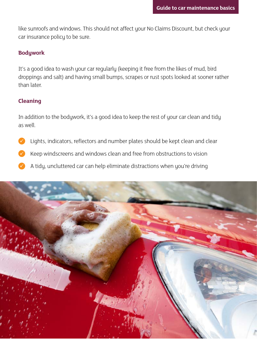like sunroofs and windows. This should not affect your No Claims Discount, but check your car insurance policy to be sure.

### **Bodywork**

It's a good idea to wash your car regularly (keeping it free from the likes of mud, bird droppings and salt) and having small bumps, scrapes or rust spots looked at sooner rather than later.

### **Cleaning**

In addition to the bodywork, it's a good idea to keep the rest of your car clean and tidy as well.

- Lights, indicators, reflectors and number plates should be kept clean and clear
- Keep windscreens and windows clean and free from obstructions to vision
- A tidy, uncluttered car can help eliminate distractions when you're driving

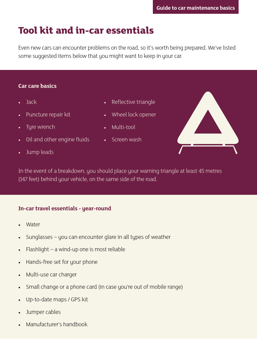# **Tool kit and in-car essentials**

Even new cars can encounter problems on the road, so it's worth being prepared. We've listed some suggested items below that you might want to keep in your car.

### **Car care basics**

- Jack
- Puncture repair kit
- Tyre wrench
- Oil and other engine fluids
- Jump leads
- Reflective triangle
- Wheel lock opener
- Multi-tool
- Screen wash

In the event of a breakdown, you should place your warning triangle at least 45 metres (147 feet) behind your vehicle, on the same side of the road.

### **In-car travel essentials - year-round**

- **Water**
- Sunglasses you can encounter glare in all types of weather
- Flashlight a wind-up one is most reliable
- Hands-free set for your phone
- Multi-use car charger
- Small change or a phone card (in case you're out of mobile range)
- Up-to-date maps / GPS kit
- Jumper cables
- Manufacturer's handbook

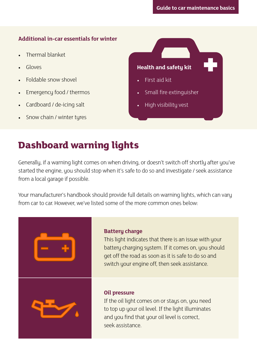### **Additional in-car essentials for winter**

- Thermal blanket
- Gloves
- Foldable snow shovel
- Emergency food / thermos
- Cardboard / de-icing salt
- Snow chain / winter tyres

**Health and safety kit**

- First aid kit
- Small fire extinguisher
- High visibility vest

## **Dashboard warning lights**

Generally, if a warning light comes on when driving, or doesn't switch off shortly after you've started the engine, you should stop when it's safe to do so and investigate / seek assistance from a local garage if possible.

Your manufacturer's handbook should provide full details on warning lights, which can vary from car to car. However, we've listed some of the more common ones below:

### **Battery charge**

This light indicates that there is an issue with your battery charging system. If it comes on, you should get off the road as soon as it is safe to do so and switch your engine off, then seek assistance.



### **Oil pressure**

If the oil light comes on or stays on, you need to top up your oil level. If the light illuminates and you find that your oil level is correct, seek assistance.